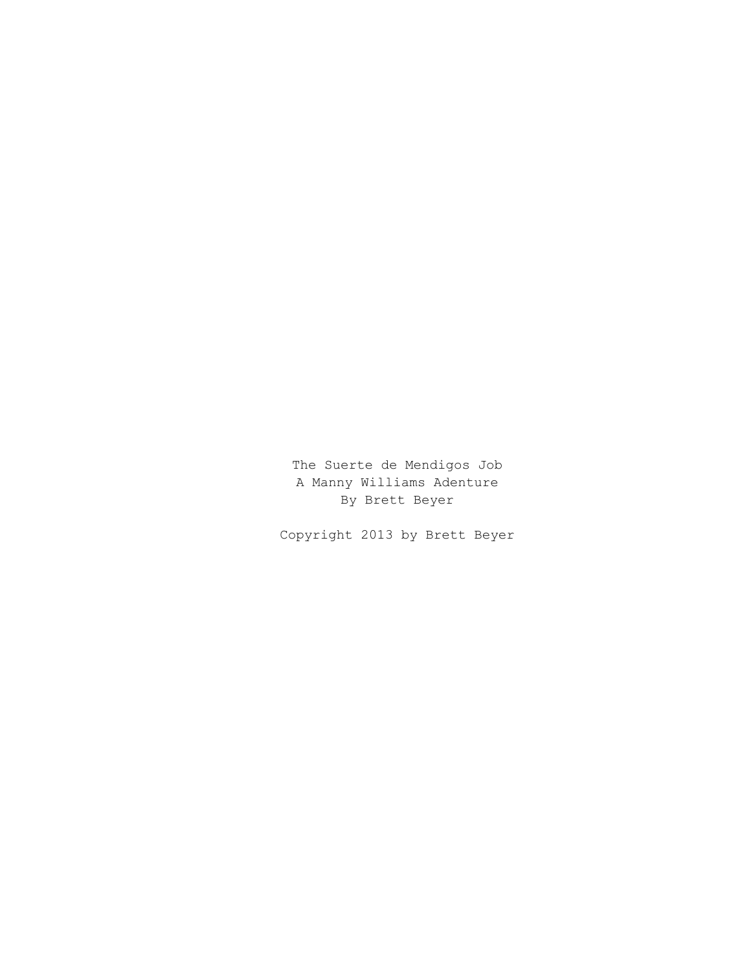The Suerte de Mendigos Job A Manny Williams Adenture By Brett Beyer

Copyright 2013 by Brett Beyer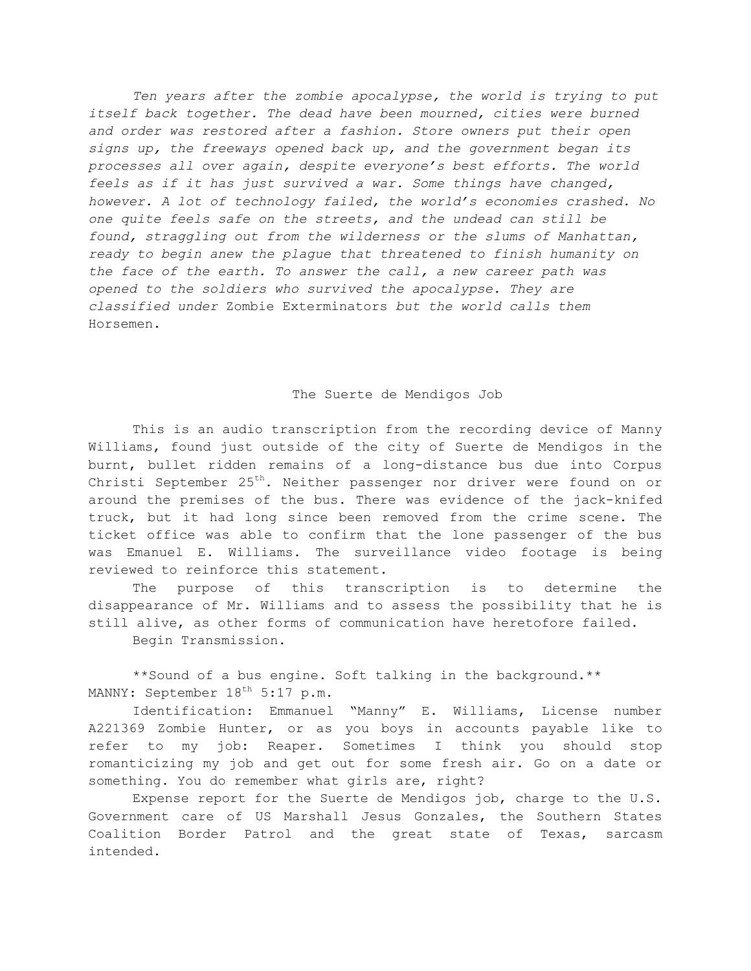*Ten years after the zombie apocalypse, the world is trying to put itself back together. The dead have been mourned, cities were burned and order was restored after a fashion. Store owners put their open signs up, the freeways opened back up, and the government began its processes all over again, despite everyone's best efforts. The world feels as if it has just survived a war. Some things have changed, however. A lot of technology failed, the world's economies crashed. No one quite feels safe on the streets, and the undead can still be found, straggling out from the wilderness or the slums of Manhattan, ready to begin anew the plague that threatened to finish humanity on the face of the earth. To answer the call, a new career path was opened to the soldiers who survived the apocalypse. They are classified under* Zombie Exterminators *but the world calls them*  Horsemen.

#### The Suerte de Mendigos Job

This is an audio transcription from the recording device of Manny Williams, found just outside of the city of Suerte de Mendigos in the burnt, bullet ridden remains of a long-distance bus due into Corpus Christi September 25<sup>th</sup>. Neither passenger nor driver were found on or around the premises of the bus. There was evidence of the jack-knifed truck, but it had long since been removed from the crime scene. The ticket office was able to confirm that the lone passenger of the bus was Emanuel E. Williams. The surveillance video footage is being reviewed to reinforce this statement.

The purpose of this transcription is to determine the disappearance of Mr. Williams and to assess the possibility that he is still alive, as other forms of communication have heretofore failed.

Begin Transmission.

\*\*Sound of a bus engine. Soft talking in the background.\*\* MANNY: September 18<sup>th</sup> 5:17 p.m.

Identification: Emmanuel "Manny" E. Williams, License number A221369 Zombie Hunter, or as you boys in accounts payable like to refer to my job: Reaper. Sometimes I think you should stop romanticizing my job and get out for some fresh air. Go on a date or something. You do remember what girls are, right?

Expense report for the Suerte de Mendigos job, charge to the U.S. Government care of US Marshall Jesus Gonzales, the Southern States Coalition Border Patrol and the great state of Texas, sarcasm intended.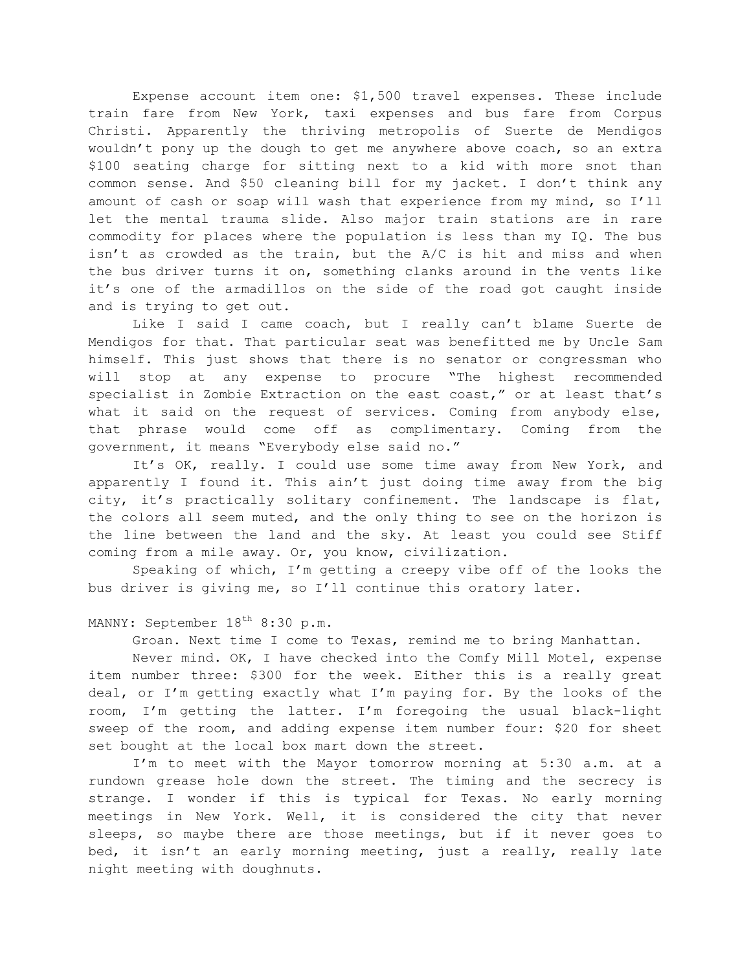Expense account item one: \$1,500 travel expenses. These include train fare from New York, taxi expenses and bus fare from Corpus Christi. Apparently the thriving metropolis of Suerte de Mendigos wouldn't pony up the dough to get me anywhere above coach, so an extra \$100 seating charge for sitting next to a kid with more snot than common sense. And \$50 cleaning bill for my jacket. I don't think any amount of cash or soap will wash that experience from my mind, so I'll let the mental trauma slide. Also major train stations are in rare commodity for places where the population is less than my IQ. The bus isn't as crowded as the train, but the A/C is hit and miss and when the bus driver turns it on, something clanks around in the vents like it's one of the armadillos on the side of the road got caught inside and is trying to get out.

Like I said I came coach, but I really can't blame Suerte de Mendigos for that. That particular seat was benefitted me by Uncle Sam himself. This just shows that there is no senator or congressman who will stop at any expense to procure "The highest recommended specialist in Zombie Extraction on the east coast," or at least that's what it said on the request of services. Coming from anybody else, that phrase would come off as complimentary. Coming from the government, it means "Everybody else said no."

It's OK, really. I could use some time away from New York, and apparently I found it. This ain't just doing time away from the big city, it's practically solitary confinement. The landscape is flat, the colors all seem muted, and the only thing to see on the horizon is the line between the land and the sky. At least you could see Stiff coming from a mile away. Or, you know, civilization.

Speaking of which, I'm getting a creepy vibe off of the looks the bus driver is giving me, so I'll continue this oratory later.

# MANNY: September 18<sup>th</sup> 8:30 p.m.

Groan. Next time I come to Texas, remind me to bring Manhattan.

Never mind. OK, I have checked into the Comfy Mill Motel, expense item number three: \$300 for the week. Either this is a really great deal, or I'm getting exactly what I'm paying for. By the looks of the room, I'm getting the latter. I'm foregoing the usual black-light sweep of the room, and adding expense item number four: \$20 for sheet set bought at the local box mart down the street.

I'm to meet with the Mayor tomorrow morning at 5:30 a.m. at a rundown grease hole down the street. The timing and the secrecy is strange. I wonder if this is typical for Texas. No early morning meetings in New York. Well, it is considered the city that never sleeps, so maybe there are those meetings, but if it never goes to bed, it isn't an early morning meeting, just a really, really late night meeting with doughnuts.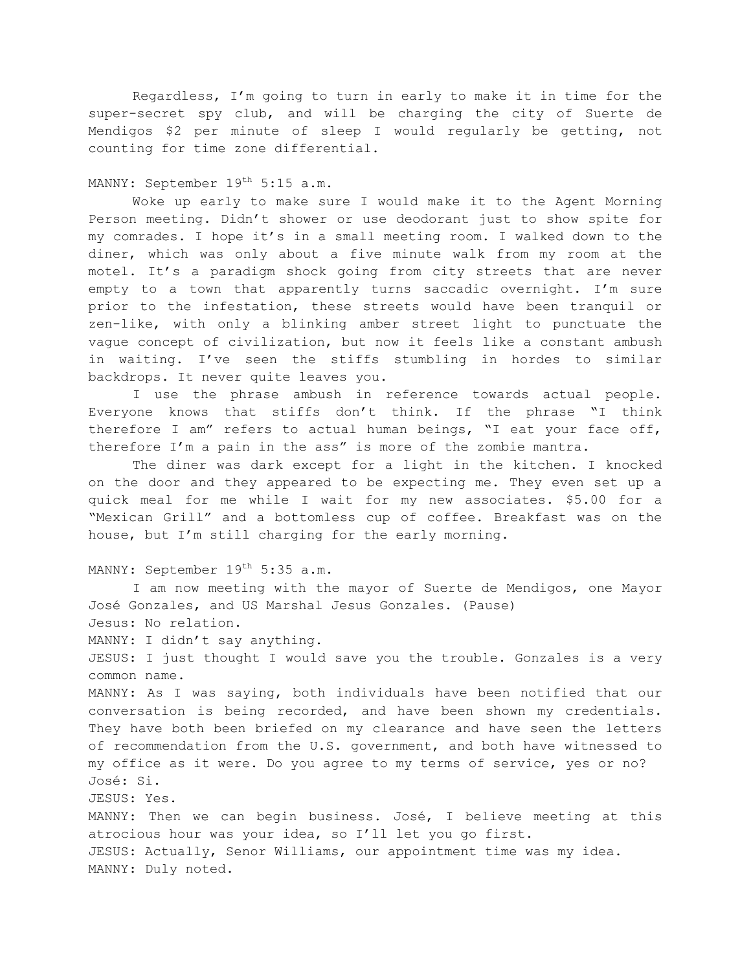Regardless, I'm going to turn in early to make it in time for the super-secret spy club, and will be charging the city of Suerte de Mendigos \$2 per minute of sleep I would regularly be getting, not counting for time zone differential.

### MANNY: September 19<sup>th</sup> 5:15 a.m.

Woke up early to make sure I would make it to the Agent Morning Person meeting. Didn't shower or use deodorant just to show spite for my comrades. I hope it's in a small meeting room. I walked down to the diner, which was only about a five minute walk from my room at the motel. It's a paradigm shock going from city streets that are never empty to a town that apparently turns saccadic overnight. I'm sure prior to the infestation, these streets would have been tranquil or zen-like, with only a blinking amber street light to punctuate the vague concept of civilization, but now it feels like a constant ambush in waiting. I've seen the stiffs stumbling in hordes to similar backdrops. It never quite leaves you.

I use the phrase ambush in reference towards actual people. Everyone knows that stiffs don't think. If the phrase "I think therefore I am" refers to actual human beings, "I eat your face off, therefore I'm a pain in the ass" is more of the zombie mantra.

The diner was dark except for a light in the kitchen. I knocked on the door and they appeared to be expecting me. They even set up a quick meal for me while I wait for my new associates. \$5.00 for a "Mexican Grill" and a bottomless cup of coffee. Breakfast was on the house, but I'm still charging for the early morning.

## MANNY: September 19<sup>th</sup> 5:35 a.m.

I am now meeting with the mayor of Suerte de Mendigos, one Mayor José Gonzales, and US Marshal Jesus Gonzales. (Pause) Jesus: No relation. MANNY: I didn't say anything. JESUS: I just thought I would save you the trouble. Gonzales is a very common name. MANNY: As I was saying, both individuals have been notified that our conversation is being recorded, and have been shown my credentials. They have both been briefed on my clearance and have seen the letters of recommendation from the U.S. government, and both have witnessed to my office as it were. Do you agree to my terms of service, yes or no? José: Si. JESUS: Yes. MANNY: Then we can begin business. José, I believe meeting at this atrocious hour was your idea, so I'll let you go first. JESUS: Actually, Senor Williams, our appointment time was my idea.

MANNY: Duly noted.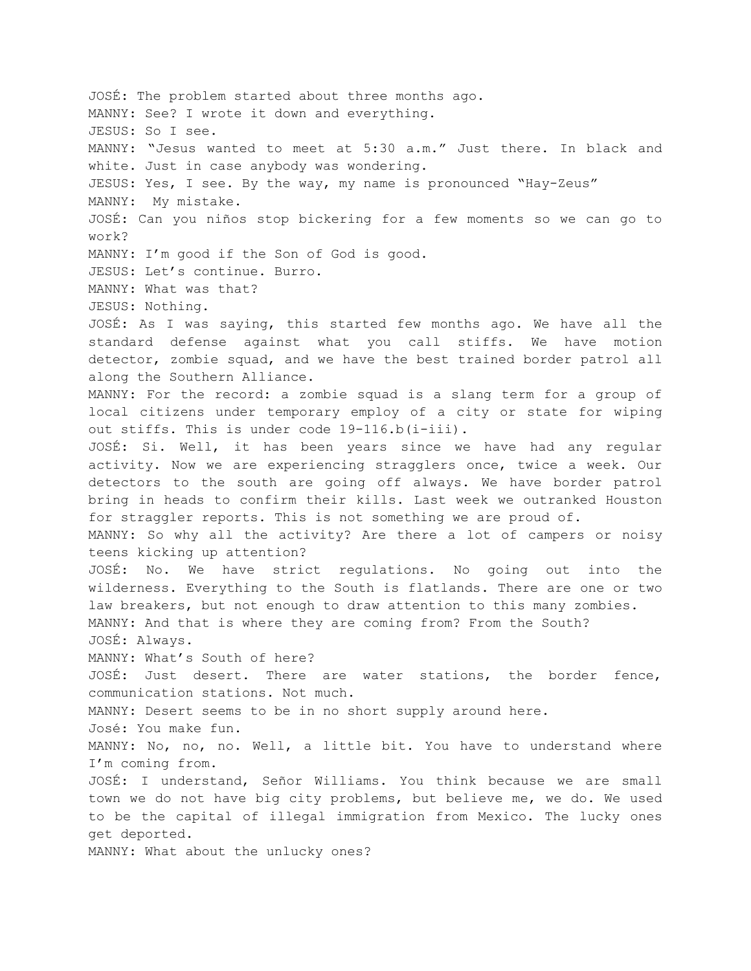JOSÉ: The problem started about three months ago. MANNY: See? I wrote it down and everything. JESUS: So I see. MANNY: "Jesus wanted to meet at 5:30 a.m." Just there. In black and white. Just in case anybody was wondering. JESUS: Yes, I see. By the way, my name is pronounced "Hay-Zeus" MANNY: My mistake. JOSÉ: Can you niños stop bickering for a few moments so we can go to work? MANNY: I'm good if the Son of God is good. JESUS: Let's continue. Burro. MANNY: What was that? JESUS: Nothing. JOSÉ: As I was saying, this started few months ago. We have all the standard defense against what you call stiffs. We have motion detector, zombie squad, and we have the best trained border patrol all along the Southern Alliance. MANNY: For the record: a zombie squad is a slang term for a group of local citizens under temporary employ of a city or state for wiping out stiffs. This is under code 19-116.b(i-iii). JOSÉ: Si. Well, it has been years since we have had any regular activity. Now we are experiencing stragglers once, twice a week. Our detectors to the south are going off always. We have border patrol bring in heads to confirm their kills. Last week we outranked Houston for straggler reports. This is not something we are proud of. MANNY: So why all the activity? Are there a lot of campers or noisy teens kicking up attention? JOSÉ: No. We have strict regulations. No going out into the wilderness. Everything to the South is flatlands. There are one or two law breakers, but not enough to draw attention to this many zombies. MANNY: And that is where they are coming from? From the South? JOSÉ: Always. MANNY: What's South of here? JOSÉ: Just desert. There are water stations, the border fence, communication stations. Not much. MANNY: Desert seems to be in no short supply around here. José: You make fun. MANNY: No, no, no. Well, a little bit. You have to understand where I'm coming from. JOSÉ: I understand, Señor Williams. You think because we are small town we do not have big city problems, but believe me, we do. We used to be the capital of illegal immigration from Mexico. The lucky ones get deported. MANNY: What about the unlucky ones?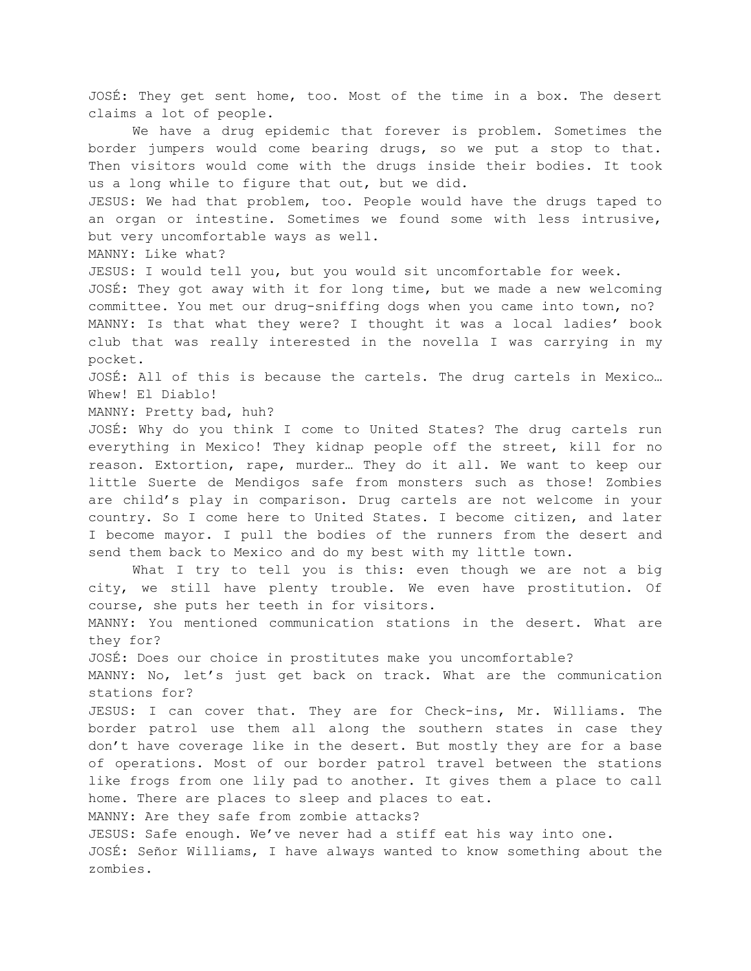JOSÉ: They get sent home, too. Most of the time in a box. The desert claims a lot of people. We have a drug epidemic that forever is problem. Sometimes the border jumpers would come bearing drugs, so we put a stop to that. Then visitors would come with the drugs inside their bodies. It took us a long while to figure that out, but we did. JESUS: We had that problem, too. People would have the drugs taped to an organ or intestine. Sometimes we found some with less intrusive, but very uncomfortable ways as well. MANNY: Like what? JESUS: I would tell you, but you would sit uncomfortable for week. JOSÉ: They got away with it for long time, but we made a new welcoming committee. You met our drug-sniffing dogs when you came into town, no? MANNY: Is that what they were? I thought it was a local ladies' book club that was really interested in the novella I was carrying in my pocket. JOSÉ: All of this is because the cartels. The drug cartels in Mexico… Whew! El Diablo! MANNY: Pretty bad, huh? JOSÉ: Why do you think I come to United States? The drug cartels run everything in Mexico! They kidnap people off the street, kill for no reason. Extortion, rape, murder… They do it all. We want to keep our little Suerte de Mendigos safe from monsters such as those! Zombies are child's play in comparison. Drug cartels are not welcome in your country. So I come here to United States. I become citizen, and later I become mayor. I pull the bodies of the runners from the desert and send them back to Mexico and do my best with my little town. What I try to tell you is this: even though we are not a big city, we still have plenty trouble. We even have prostitution. Of course, she puts her teeth in for visitors. MANNY: You mentioned communication stations in the desert. What are they for? JOSÉ: Does our choice in prostitutes make you uncomfortable? MANNY: No, let's just get back on track. What are the communication stations for? JESUS: I can cover that. They are for Check-ins, Mr. Williams. The border patrol use them all along the southern states in case they don't have coverage like in the desert. But mostly they are for a base of operations. Most of our border patrol travel between the stations like frogs from one lily pad to another. It gives them a place to call home. There are places to sleep and places to eat. MANNY: Are they safe from zombie attacks? JESUS: Safe enough. We've never had a stiff eat his way into one. JOSÉ: Señor Williams, I have always wanted to know something about the zombies.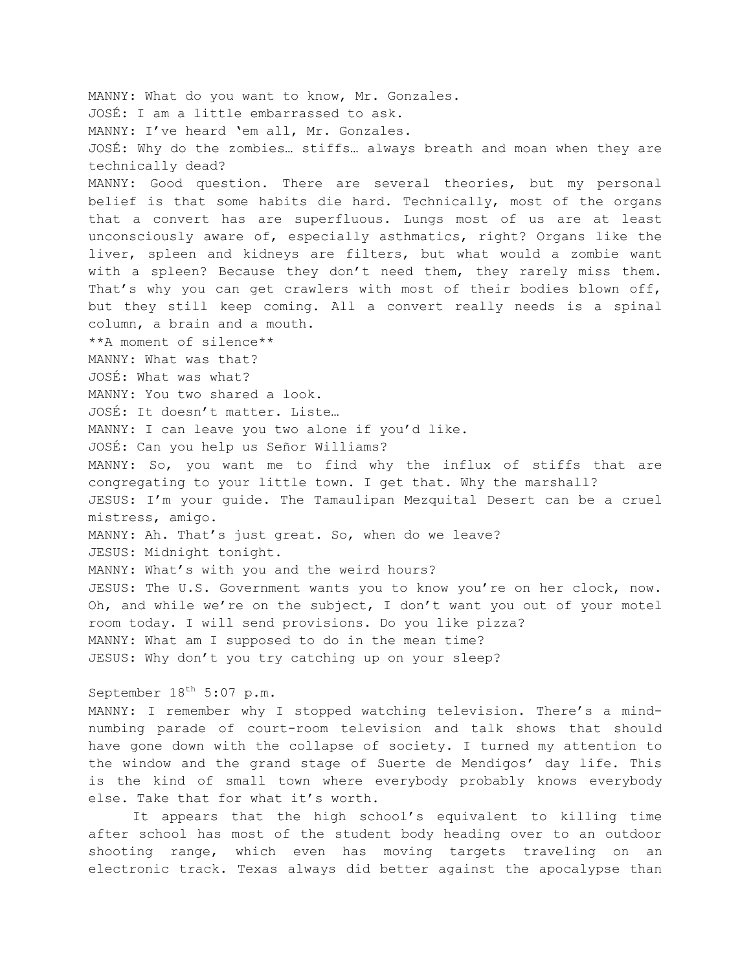MANNY: What do you want to know, Mr. Gonzales. JOSÉ: I am a little embarrassed to ask. MANNY: I've heard 'em all, Mr. Gonzales. JOSÉ: Why do the zombies… stiffs… always breath and moan when they are technically dead? MANNY: Good question. There are several theories, but my personal belief is that some habits die hard. Technically, most of the organs that a convert has are superfluous. Lungs most of us are at least unconsciously aware of, especially asthmatics, right? Organs like the liver, spleen and kidneys are filters, but what would a zombie want with a spleen? Because they don't need them, they rarely miss them. That's why you can get crawlers with most of their bodies blown off, but they still keep coming. All a convert really needs is a spinal column, a brain and a mouth. \*\*A moment of silence\*\* MANNY: What was that? JOSÉ: What was what? MANNY: You two shared a look. JOSÉ: It doesn't matter. Liste… MANNY: I can leave you two alone if you'd like. JOSÉ: Can you help us Señor Williams? MANNY: So, you want me to find why the influx of stiffs that are congregating to your little town. I get that. Why the marshall? JESUS: I'm your guide. The Tamaulipan Mezquital Desert can be a cruel mistress, amigo. MANNY: Ah. That's just great. So, when do we leave? JESUS: Midnight tonight. MANNY: What's with you and the weird hours? JESUS: The U.S. Government wants you to know you're on her clock, now. Oh, and while we're on the subject, I don't want you out of your motel room today. I will send provisions. Do you like pizza? MANNY: What am I supposed to do in the mean time? JESUS: Why don't you try catching up on your sleep? September  $18^{th}$  5:07 p.m.

MANNY: I remember why I stopped watching television. There's a mindnumbing parade of court-room television and talk shows that should have gone down with the collapse of society. I turned my attention to the window and the grand stage of Suerte de Mendigos' day life. This is the kind of small town where everybody probably knows everybody else. Take that for what it's worth.

It appears that the high school's equivalent to killing time after school has most of the student body heading over to an outdoor shooting range, which even has moving targets traveling on an electronic track. Texas always did better against the apocalypse than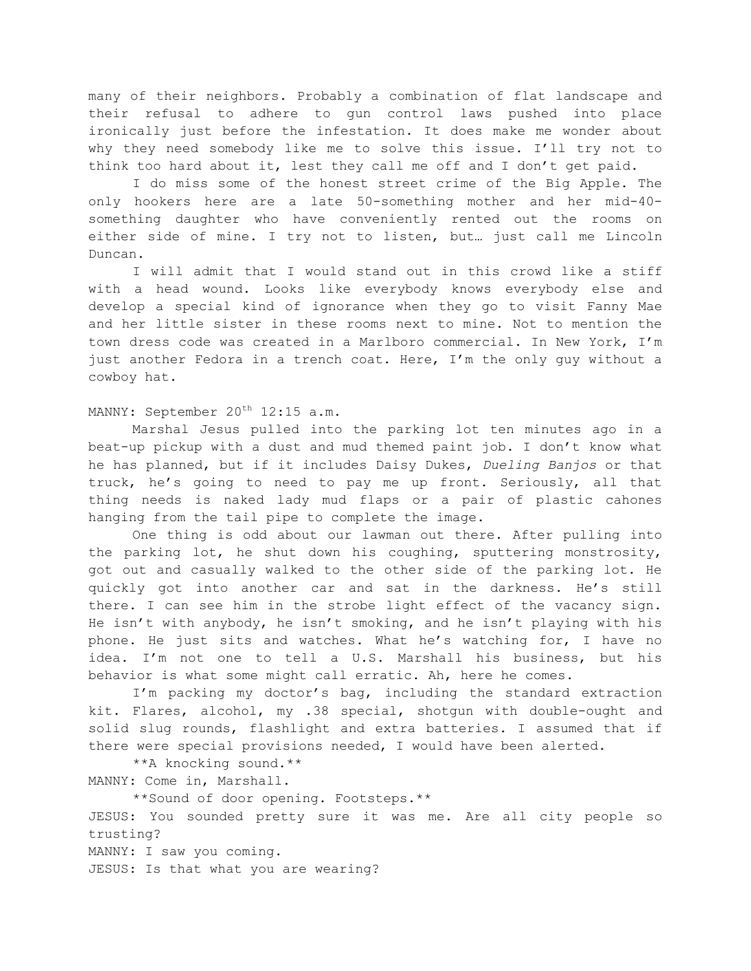many of their neighbors. Probably a combination of flat landscape and their refusal to adhere to gun control laws pushed into place ironically just before the infestation. It does make me wonder about why they need somebody like me to solve this issue. I'll try not to think too hard about it, lest they call me off and I don't get paid.

I do miss some of the honest street crime of the Big Apple. The only hookers here are a late 50-something mother and her mid-40 something daughter who have conveniently rented out the rooms on either side of mine. I try not to listen, but… just call me Lincoln Duncan.

I will admit that I would stand out in this crowd like a stiff with a head wound. Looks like everybody knows everybody else and develop a special kind of ignorance when they go to visit Fanny Mae and her little sister in these rooms next to mine. Not to mention the town dress code was created in a Marlboro commercial. In New York, I'm just another Fedora in a trench coat. Here, I'm the only guy without a cowboy hat.

# MANNY: September 20<sup>th</sup> 12:15 a.m.

Marshal Jesus pulled into the parking lot ten minutes ago in a beat-up pickup with a dust and mud themed paint job. I don't know what he has planned, but if it includes Daisy Dukes, *Dueling Banjos* or that truck, he's going to need to pay me up front. Seriously, all that thing needs is naked lady mud flaps or a pair of plastic cahones hanging from the tail pipe to complete the image.

One thing is odd about our lawman out there. After pulling into the parking lot, he shut down his coughing, sputtering monstrosity, got out and casually walked to the other side of the parking lot. He quickly got into another car and sat in the darkness. He's still there. I can see him in the strobe light effect of the vacancy sign. He isn't with anybody, he isn't smoking, and he isn't playing with his phone. He just sits and watches. What he's watching for, I have no idea. I'm not one to tell a U.S. Marshall his business, but his behavior is what some might call erratic. Ah, here he comes.

I'm packing my doctor's bag, including the standard extraction kit. Flares, alcohol, my .38 special, shotgun with double-ought and solid slug rounds, flashlight and extra batteries. I assumed that if there were special provisions needed, I would have been alerted.

\*\*A knocking sound.\*\*

MANNY: Come in, Marshall.

\*\*Sound of door opening. Footsteps.\*\*

JESUS: You sounded pretty sure it was me. Are all city people so trusting?

MANNY: I saw you coming.

JESUS: Is that what you are wearing?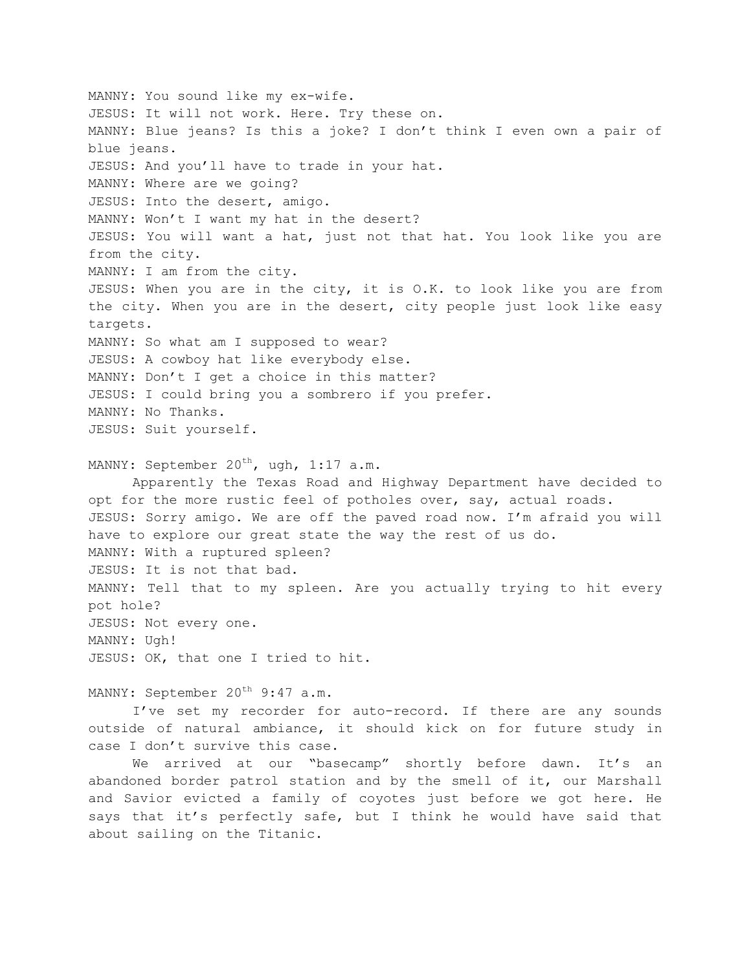MANNY: You sound like my ex-wife. JESUS: It will not work. Here. Try these on. MANNY: Blue jeans? Is this a joke? I don't think I even own a pair of blue jeans. JESUS: And you'll have to trade in your hat. MANNY: Where are we going? JESUS: Into the desert, amigo. MANNY: Won't I want my hat in the desert? JESUS: You will want a hat, just not that hat. You look like you are from the city. MANNY: I am from the city. JESUS: When you are in the city, it is O.K. to look like you are from the city. When you are in the desert, city people just look like easy targets. MANNY: So what am I supposed to wear? JESUS: A cowboy hat like everybody else. MANNY: Don't I get a choice in this matter? JESUS: I could bring you a sombrero if you prefer. MANNY: No Thanks. JESUS: Suit yourself. MANNY: September  $20^{th}$ , ugh, 1:17 a.m. Apparently the Texas Road and Highway Department have decided to opt for the more rustic feel of potholes over, say, actual roads. JESUS: Sorry amigo. We are off the paved road now. I'm afraid you will have to explore our great state the way the rest of us do. MANNY: With a ruptured spleen? JESUS: It is not that bad. MANNY: Tell that to my spleen. Are you actually trying to hit every pot hole?

JESUS: Not every one. MANNY: Ugh! JESUS: OK, that one I tried to hit.

MANNY: September 20<sup>th</sup> 9:47 a.m.

I've set my recorder for auto-record. If there are any sounds outside of natural ambiance, it should kick on for future study in case I don't survive this case.

We arrived at our "basecamp" shortly before dawn. It's an abandoned border patrol station and by the smell of it, our Marshall and Savior evicted a family of coyotes just before we got here. He says that it's perfectly safe, but I think he would have said that about sailing on the Titanic.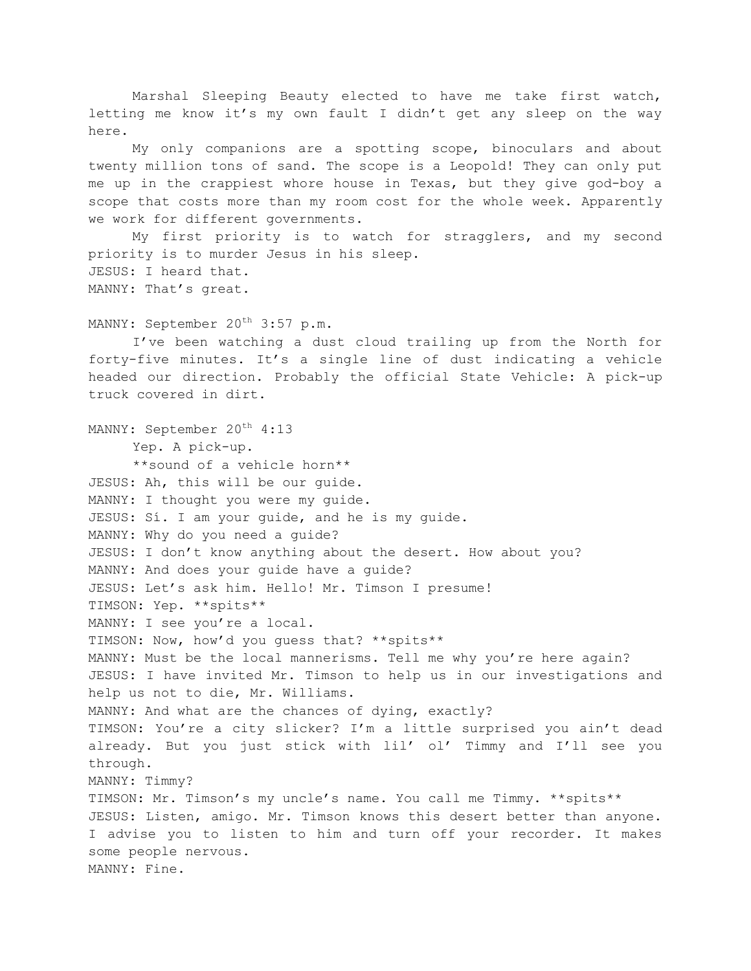Marshal Sleeping Beauty elected to have me take first watch, letting me know it's my own fault I didn't get any sleep on the way here.

My only companions are a spotting scope, binoculars and about twenty million tons of sand. The scope is a Leopold! They can only put me up in the crappiest whore house in Texas, but they give god-boy a scope that costs more than my room cost for the whole week. Apparently we work for different governments.

My first priority is to watch for stragglers, and my second priority is to murder Jesus in his sleep. JESUS: I heard that. MANNY: That's great.

MANNY: September 20<sup>th</sup> 3:57 p.m.

I've been watching a dust cloud trailing up from the North for forty-five minutes. It's a single line of dust indicating a vehicle headed our direction. Probably the official State Vehicle: A pick-up truck covered in dirt.

MANNY: September 20<sup>th</sup> 4:13 Yep. A pick-up. \*\*sound of a vehicle horn\*\* JESUS: Ah, this will be our guide. MANNY: I thought you were my guide. JESUS: Sí. I am your guide, and he is my guide. MANNY: Why do you need a guide? JESUS: I don't know anything about the desert. How about you? MANNY: And does your guide have a guide? JESUS: Let's ask him. Hello! Mr. Timson I presume! TIMSON: Yep. \*\*spits\*\* MANNY: I see you're a local. TIMSON: Now, how'd you guess that? \*\*spits\*\* MANNY: Must be the local mannerisms. Tell me why you're here again? JESUS: I have invited Mr. Timson to help us in our investigations and help us not to die, Mr. Williams. MANNY: And what are the chances of dying, exactly? TIMSON: You're a city slicker? I'm a little surprised you ain't dead already. But you just stick with lil' ol' Timmy and I'll see you through. MANNY: Timmy? TIMSON: Mr. Timson's my uncle's name. You call me Timmy. \*\*spits\*\* JESUS: Listen, amigo. Mr. Timson knows this desert better than anyone. I advise you to listen to him and turn off your recorder. It makes some people nervous. MANNY: Fine.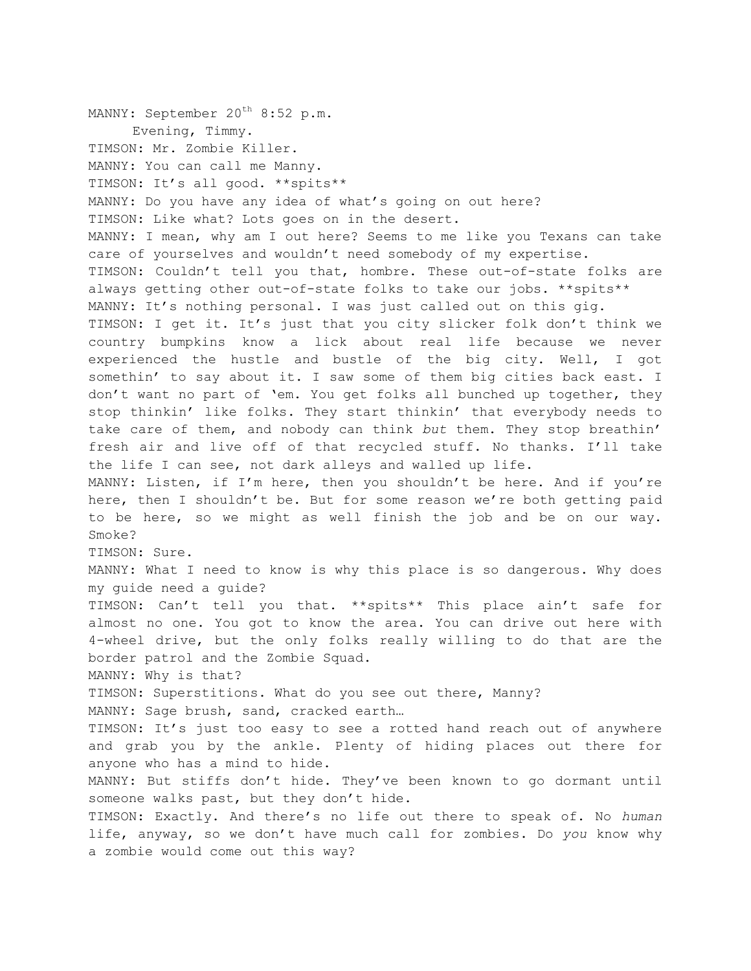MANNY: September 20<sup>th</sup> 8:52 p.m. Evening, Timmy. TIMSON: Mr. Zombie Killer. MANNY: You can call me Manny. TIMSON: It's all good. \*\*spits\*\* MANNY: Do you have any idea of what's going on out here? TIMSON: Like what? Lots goes on in the desert. MANNY: I mean, why am I out here? Seems to me like you Texans can take care of yourselves and wouldn't need somebody of my expertise. TIMSON: Couldn't tell you that, hombre. These out-of-state folks are always getting other out-of-state folks to take our jobs. \*\*spits\*\* MANNY: It's nothing personal. I was just called out on this gig. TIMSON: I get it. It's just that you city slicker folk don't think we country bumpkins know a lick about real life because we never experienced the hustle and bustle of the big city. Well, I got somethin' to say about it. I saw some of them big cities back east. I don't want no part of 'em. You get folks all bunched up together, they stop thinkin' like folks. They start thinkin' that everybody needs to take care of them, and nobody can think *but* them. They stop breathin' fresh air and live off of that recycled stuff. No thanks. I'll take the life I can see, not dark alleys and walled up life. MANNY: Listen, if I'm here, then you shouldn't be here. And if you're here, then I shouldn't be. But for some reason we're both getting paid to be here, so we might as well finish the job and be on our way. Smoke? TIMSON: Sure. MANNY: What I need to know is why this place is so dangerous. Why does my guide need a guide? TIMSON: Can't tell you that. \*\*spits\*\* This place ain't safe for almost no one. You got to know the area. You can drive out here with 4-wheel drive, but the only folks really willing to do that are the border patrol and the Zombie Squad. MANNY: Why is that? TIMSON: Superstitions. What do you see out there, Manny? MANNY: Sage brush, sand, cracked earth… TIMSON: It's just too easy to see a rotted hand reach out of anywhere and grab you by the ankle. Plenty of hiding places out there for anyone who has a mind to hide. MANNY: But stiffs don't hide. They've been known to go dormant until someone walks past, but they don't hide. TIMSON: Exactly. And there's no life out there to speak of. No *human* life, anyway, so we don't have much call for zombies. Do *you* know why a zombie would come out this way?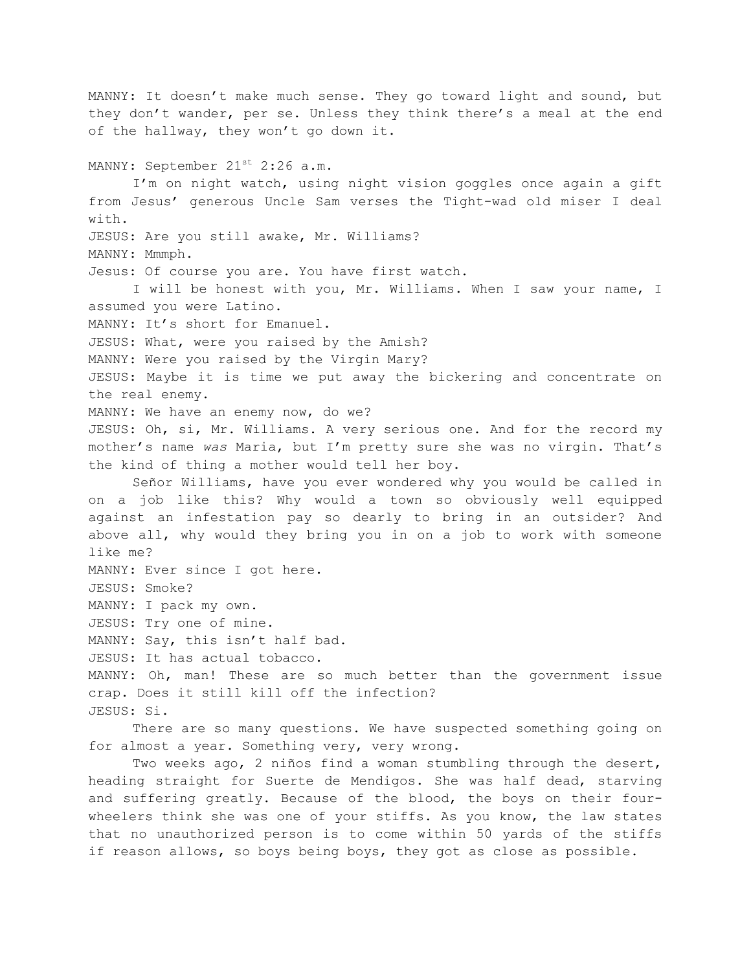MANNY: It doesn't make much sense. They go toward light and sound, but they don't wander, per se. Unless they think there's a meal at the end of the hallway, they won't go down it. MANNY: September 21<sup>st</sup> 2:26 a.m. I'm on night watch, using night vision goggles once again a gift from Jesus' generous Uncle Sam verses the Tight-wad old miser I deal with. JESUS: Are you still awake, Mr. Williams? MANNY: Mmmph. Jesus: Of course you are. You have first watch. I will be honest with you, Mr. Williams. When I saw your name, I assumed you were Latino. MANNY: It's short for Emanuel. JESUS: What, were you raised by the Amish? MANNY: Were you raised by the Virgin Mary? JESUS: Maybe it is time we put away the bickering and concentrate on the real enemy. MANNY: We have an enemy now, do we? JESUS: Oh, si, Mr. Williams. A very serious one. And for the record my mother's name *was* Maria, but I'm pretty sure she was no virgin. That's the kind of thing a mother would tell her boy. Señor Williams, have you ever wondered why you would be called in on a job like this? Why would a town so obviously well equipped against an infestation pay so dearly to bring in an outsider? And above all, why would they bring you in on a job to work with someone like me? MANNY: Ever since I got here. JESUS: Smoke? MANNY: I pack my own. JESUS: Try one of mine. MANNY: Say, this isn't half bad. JESUS: It has actual tobacco. MANNY: Oh, man! These are so much better than the government issue crap. Does it still kill off the infection? JESUS: Si. There are so many questions. We have suspected something going on for almost a year. Something very, very wrong.

Two weeks ago, 2 niños find a woman stumbling through the desert, heading straight for Suerte de Mendigos. She was half dead, starving and suffering greatly. Because of the blood, the boys on their fourwheelers think she was one of your stiffs. As you know, the law states that no unauthorized person is to come within 50 yards of the stiffs if reason allows, so boys being boys, they got as close as possible.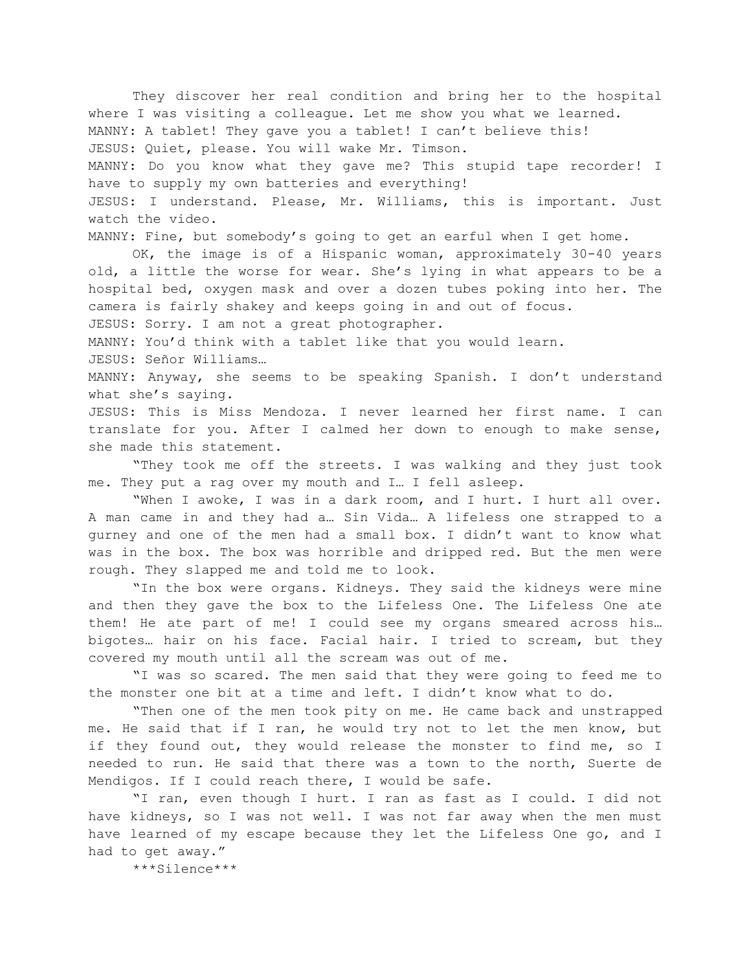They discover her real condition and bring her to the hospital where I was visiting a colleague. Let me show you what we learned. MANNY: A tablet! They gave you a tablet! I can't believe this! JESUS: Quiet, please. You will wake Mr. Timson. MANNY: Do you know what they gave me? This stupid tape recorder! I have to supply my own batteries and everything! JESUS: I understand. Please, Mr. Williams, this is important. Just watch the video. MANNY: Fine, but somebody's going to get an earful when I get home.

OK, the image is of a Hispanic woman, approximately 30-40 years old, a little the worse for wear. She's lying in what appears to be a hospital bed, oxygen mask and over a dozen tubes poking into her. The camera is fairly shakey and keeps going in and out of focus.

JESUS: Sorry. I am not a great photographer.

MANNY: You'd think with a tablet like that you would learn.

JESUS: Señor Williams…

MANNY: Anyway, she seems to be speaking Spanish. I don't understand what she's saying.

JESUS: This is Miss Mendoza. I never learned her first name. I can translate for you. After I calmed her down to enough to make sense, she made this statement.

"They took me off the streets. I was walking and they just took me. They put a rag over my mouth and I… I fell asleep.

"When I awoke, I was in a dark room, and I hurt. I hurt all over. A man came in and they had a… Sin Vida… A lifeless one strapped to a gurney and one of the men had a small box. I didn't want to know what was in the box. The box was horrible and dripped red. But the men were rough. They slapped me and told me to look.

"In the box were organs. Kidneys. They said the kidneys were mine and then they gave the box to the Lifeless One. The Lifeless One ate them! He ate part of me! I could see my organs smeared across his… bigotes… hair on his face. Facial hair. I tried to scream, but they covered my mouth until all the scream was out of me.

"I was so scared. The men said that they were going to feed me to the monster one bit at a time and left. I didn't know what to do.

"Then one of the men took pity on me. He came back and unstrapped me. He said that if I ran, he would try not to let the men know, but if they found out, they would release the monster to find me, so I needed to run. He said that there was a town to the north, Suerte de Mendigos. If I could reach there, I would be safe.

"I ran, even though I hurt. I ran as fast as I could. I did not have kidneys, so I was not well. I was not far away when the men must have learned of my escape because they let the Lifeless One go, and I had to get away."

\*\*\*Silence\*\*\*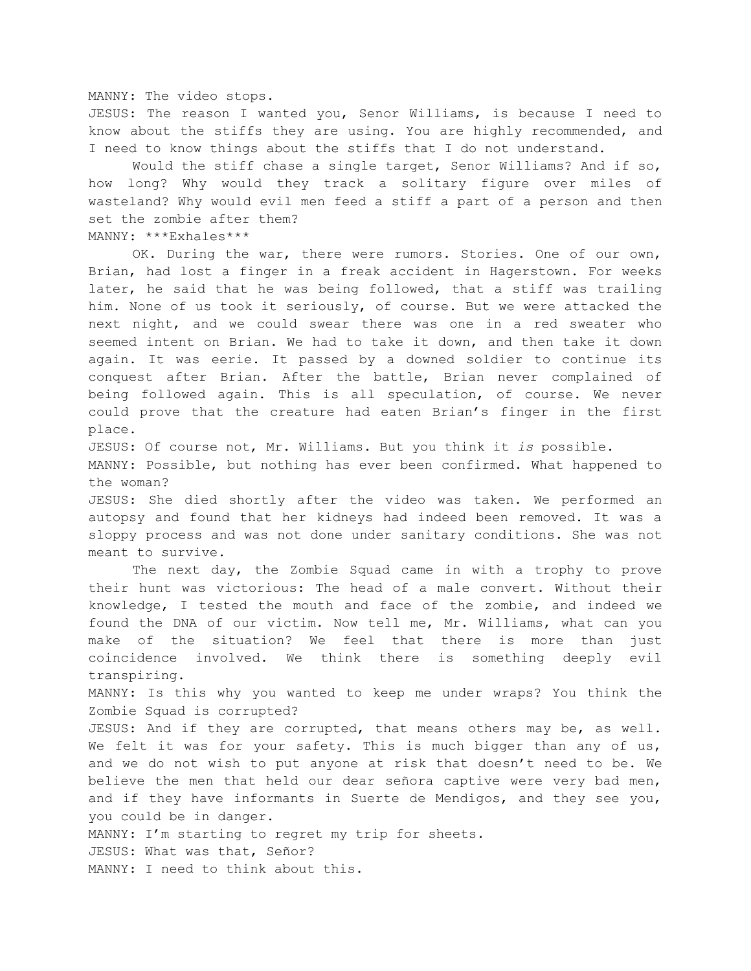MANNY: The video stops.

JESUS: The reason I wanted you, Senor Williams, is because I need to know about the stiffs they are using. You are highly recommended, and I need to know things about the stiffs that I do not understand.

Would the stiff chase a single target, Senor Williams? And if so, how long? Why would they track a solitary figure over miles of wasteland? Why would evil men feed a stiff a part of a person and then set the zombie after them? MANNY: \*\*\*Exhales\*\*\*

OK. During the war, there were rumors. Stories. One of our own, Brian, had lost a finger in a freak accident in Hagerstown. For weeks later, he said that he was being followed, that a stiff was trailing him. None of us took it seriously, of course. But we were attacked the next night, and we could swear there was one in a red sweater who seemed intent on Brian. We had to take it down, and then take it down again. It was eerie. It passed by a downed soldier to continue its conquest after Brian. After the battle, Brian never complained of being followed again. This is all speculation, of course. We never could prove that the creature had eaten Brian's finger in the first place.

JESUS: Of course not, Mr. Williams. But you think it *is* possible.

MANNY: Possible, but nothing has ever been confirmed. What happened to the woman?

JESUS: She died shortly after the video was taken. We performed an autopsy and found that her kidneys had indeed been removed. It was a sloppy process and was not done under sanitary conditions. She was not meant to survive.

The next day, the Zombie Squad came in with a trophy to prove their hunt was victorious: The head of a male convert. Without their knowledge, I tested the mouth and face of the zombie, and indeed we found the DNA of our victim. Now tell me, Mr. Williams, what can you make of the situation? We feel that there is more than just coincidence involved. We think there is something deeply evil transpiring.

MANNY: Is this why you wanted to keep me under wraps? You think the Zombie Squad is corrupted?

JESUS: And if they are corrupted, that means others may be, as well. We felt it was for your safety. This is much bigger than any of us, and we do not wish to put anyone at risk that doesn't need to be. We believe the men that held our dear señora captive were very bad men, and if they have informants in Suerte de Mendigos, and they see you, you could be in danger.

MANNY: I'm starting to regret my trip for sheets.

JESUS: What was that, Señor?

MANNY: I need to think about this.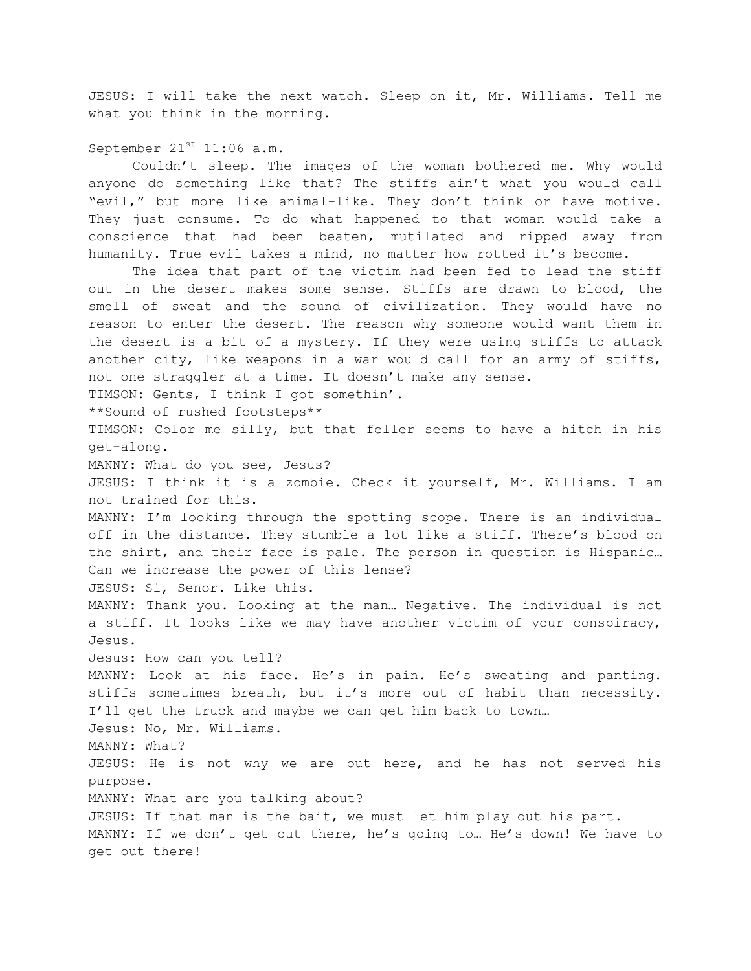JESUS: I will take the next watch. Sleep on it, Mr. Williams. Tell me what you think in the morning.

September  $21^{st}$  11:06 a.m.

Couldn't sleep. The images of the woman bothered me. Why would anyone do something like that? The stiffs ain't what you would call "evil," but more like animal-like. They don't think or have motive. They just consume. To do what happened to that woman would take a conscience that had been beaten, mutilated and ripped away from humanity. True evil takes a mind, no matter how rotted it's become.

The idea that part of the victim had been fed to lead the stiff out in the desert makes some sense. Stiffs are drawn to blood, the smell of sweat and the sound of civilization. They would have no reason to enter the desert. The reason why someone would want them in the desert is a bit of a mystery. If they were using stiffs to attack another city, like weapons in a war would call for an army of stiffs, not one straggler at a time. It doesn't make any sense. TIMSON: Gents, I think I got somethin'. \*\*Sound of rushed footsteps\*\* TIMSON: Color me silly, but that feller seems to have a hitch in his get-along. MANNY: What do you see, Jesus? JESUS: I think it is a zombie. Check it yourself, Mr. Williams. I am not trained for this. MANNY: I'm looking through the spotting scope. There is an individual off in the distance. They stumble a lot like a stiff. There's blood on the shirt, and their face is pale. The person in question is Hispanic… Can we increase the power of this lense? JESUS: Si, Senor. Like this. MANNY: Thank you. Looking at the man… Negative. The individual is not a stiff. It looks like we may have another victim of your conspiracy, Jesus. Jesus: How can you tell? MANNY: Look at his face. He's in pain. He's sweating and panting. stiffs sometimes breath, but it's more out of habit than necessity. I'll get the truck and maybe we can get him back to town… Jesus: No, Mr. Williams. MANNY: What? JESUS: He is not why we are out here, and he has not served his purpose. MANNY: What are you talking about? JESUS: If that man is the bait, we must let him play out his part. MANNY: If we don't get out there, he's going to… He's down! We have to get out there!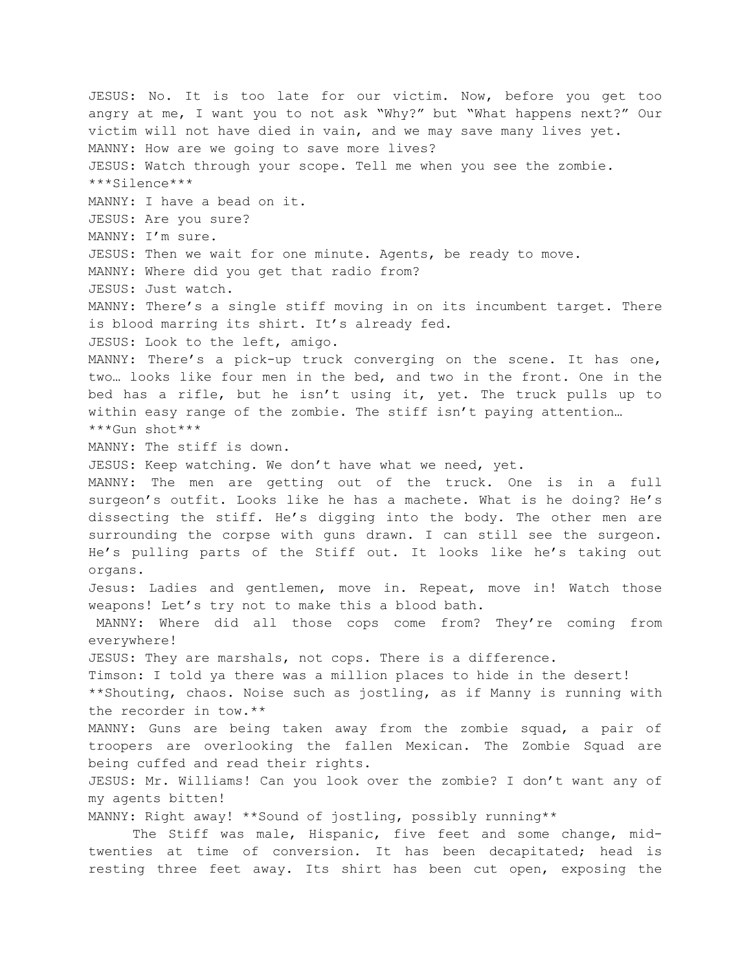JESUS: No. It is too late for our victim. Now, before you get too angry at me, I want you to not ask "Why?" but "What happens next?" Our victim will not have died in vain, and we may save many lives yet. MANNY: How are we going to save more lives? JESUS: Watch through your scope. Tell me when you see the zombie. \*\*\*Silence\*\*\* MANNY: I have a bead on it. JESUS: Are you sure? MANNY: I'm sure. JESUS: Then we wait for one minute. Agents, be ready to move. MANNY: Where did you get that radio from? JESUS: Just watch. MANNY: There's a single stiff moving in on its incumbent target. There is blood marring its shirt. It's already fed. JESUS: Look to the left, amigo. MANNY: There's a pick-up truck converging on the scene. It has one, two… looks like four men in the bed, and two in the front. One in the bed has a rifle, but he isn't using it, yet. The truck pulls up to within easy range of the zombie. The stiff isn't paying attention… \*\*\*Gun shot\*\*\* MANNY: The stiff is down. JESUS: Keep watching. We don't have what we need, yet. MANNY: The men are getting out of the truck. One is in a full surgeon's outfit. Looks like he has a machete. What is he doing? He's dissecting the stiff. He's digging into the body. The other men are surrounding the corpse with guns drawn. I can still see the surgeon. He's pulling parts of the Stiff out. It looks like he's taking out organs. Jesus: Ladies and gentlemen, move in. Repeat, move in! Watch those weapons! Let's try not to make this a blood bath. MANNY: Where did all those cops come from? They're coming from everywhere! JESUS: They are marshals, not cops. There is a difference. Timson: I told ya there was a million places to hide in the desert! \*\*Shouting, chaos. Noise such as jostling, as if Manny is running with the recorder in tow.\*\* MANNY: Guns are being taken away from the zombie squad, a pair of troopers are overlooking the fallen Mexican. The Zombie Squad are being cuffed and read their rights. JESUS: Mr. Williams! Can you look over the zombie? I don't want any of my agents bitten! MANNY: Right away! \*\*Sound of jostling, possibly running\*\* The Stiff was male, Hispanic, five feet and some change, midtwenties at time of conversion. It has been decapitated; head is

resting three feet away. Its shirt has been cut open, exposing the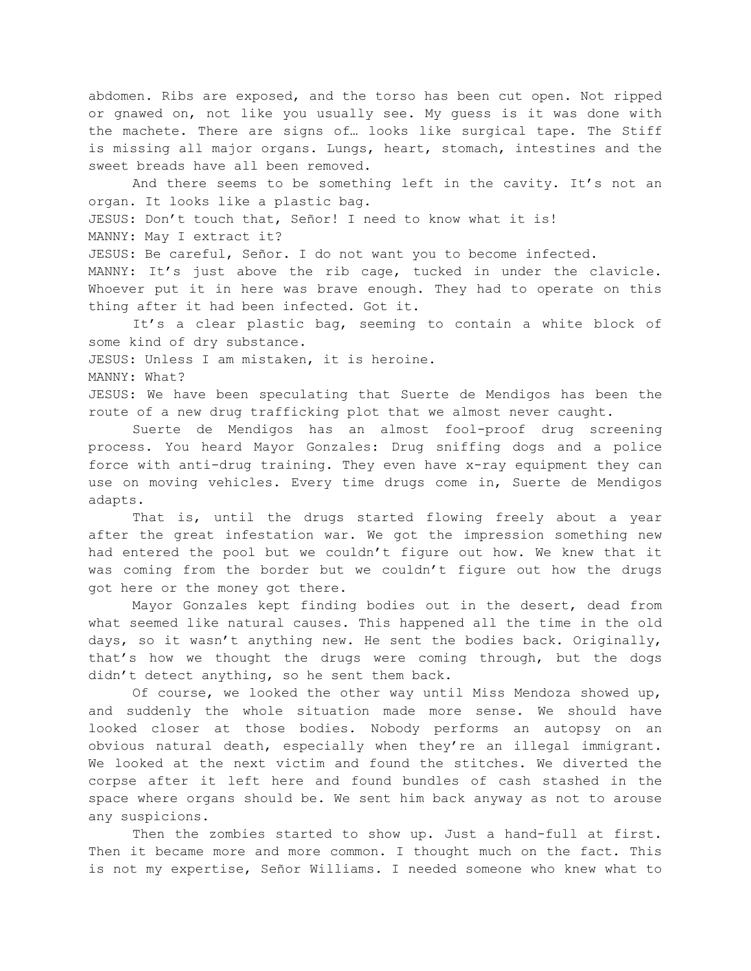abdomen. Ribs are exposed, and the torso has been cut open. Not ripped or gnawed on, not like you usually see. My guess is it was done with the machete. There are signs of… looks like surgical tape. The Stiff is missing all major organs. Lungs, heart, stomach, intestines and the sweet breads have all been removed.

And there seems to be something left in the cavity. It's not an organ. It looks like a plastic bag. JESUS: Don't touch that, Señor! I need to know what it is! MANNY: May I extract it? JESUS: Be careful, Señor. I do not want you to become infected. MANNY: It's just above the rib cage, tucked in under the clavicle. Whoever put it in here was brave enough. They had to operate on this thing after it had been infected. Got it.

It's a clear plastic bag, seeming to contain a white block of some kind of dry substance.

JESUS: Unless I am mistaken, it is heroine.

MANNY: What?

JESUS: We have been speculating that Suerte de Mendigos has been the route of a new drug trafficking plot that we almost never caught.

Suerte de Mendigos has an almost fool-proof drug screening process. You heard Mayor Gonzales: Drug sniffing dogs and a police force with anti-drug training. They even have x-ray equipment they can use on moving vehicles. Every time drugs come in, Suerte de Mendigos adapts.

That is, until the drugs started flowing freely about a year after the great infestation war. We got the impression something new had entered the pool but we couldn't figure out how. We knew that it was coming from the border but we couldn't figure out how the drugs got here or the money got there.

Mayor Gonzales kept finding bodies out in the desert, dead from what seemed like natural causes. This happened all the time in the old days, so it wasn't anything new. He sent the bodies back. Originally, that's how we thought the drugs were coming through, but the dogs didn't detect anything, so he sent them back.

Of course, we looked the other way until Miss Mendoza showed up, and suddenly the whole situation made more sense. We should have looked closer at those bodies. Nobody performs an autopsy on an obvious natural death, especially when they're an illegal immigrant. We looked at the next victim and found the stitches. We diverted the corpse after it left here and found bundles of cash stashed in the space where organs should be. We sent him back anyway as not to arouse any suspicions.

Then the zombies started to show up. Just a hand-full at first. Then it became more and more common. I thought much on the fact. This is not my expertise, Señor Williams. I needed someone who knew what to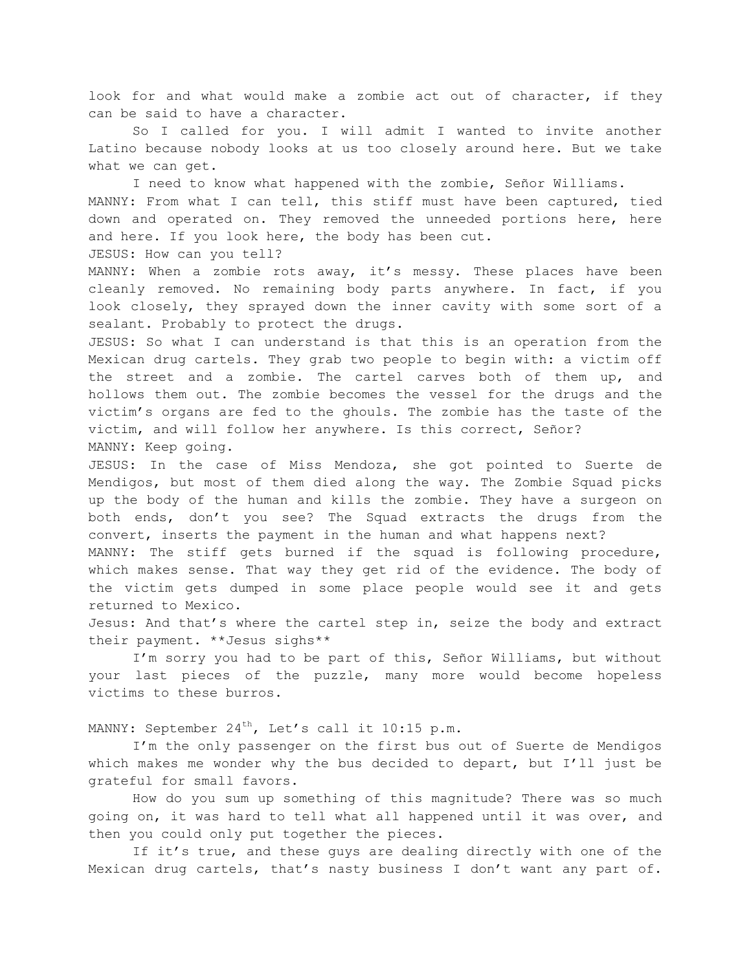look for and what would make a zombie act out of character, if they can be said to have a character.

So I called for you. I will admit I wanted to invite another Latino because nobody looks at us too closely around here. But we take what we can get.

I need to know what happened with the zombie, Señor Williams. MANNY: From what I can tell, this stiff must have been captured, tied down and operated on. They removed the unneeded portions here, here and here. If you look here, the body has been cut.

JESUS: How can you tell?

MANNY: When a zombie rots away, it's messy. These places have been cleanly removed. No remaining body parts anywhere. In fact, if you look closely, they sprayed down the inner cavity with some sort of a sealant. Probably to protect the drugs.

JESUS: So what I can understand is that this is an operation from the Mexican drug cartels. They grab two people to begin with: a victim off the street and a zombie. The cartel carves both of them up, and hollows them out. The zombie becomes the vessel for the drugs and the victim's organs are fed to the ghouls. The zombie has the taste of the victim, and will follow her anywhere. Is this correct, Señor? MANNY: Keep going.

JESUS: In the case of Miss Mendoza, she got pointed to Suerte de Mendigos, but most of them died along the way. The Zombie Squad picks up the body of the human and kills the zombie. They have a surgeon on both ends, don't you see? The Squad extracts the drugs from the convert, inserts the payment in the human and what happens next?

MANNY: The stiff gets burned if the squad is following procedure, which makes sense. That way they get rid of the evidence. The body of the victim gets dumped in some place people would see it and gets returned to Mexico.

Jesus: And that's where the cartel step in, seize the body and extract their payment. \*\*Jesus sighs\*\*

I'm sorry you had to be part of this, Señor Williams, but without your last pieces of the puzzle, many more would become hopeless victims to these burros.

MANNY: September 24<sup>th</sup>, Let's call it 10:15 p.m.

I'm the only passenger on the first bus out of Suerte de Mendigos which makes me wonder why the bus decided to depart, but I'll just be grateful for small favors.

How do you sum up something of this magnitude? There was so much going on, it was hard to tell what all happened until it was over, and then you could only put together the pieces.

If it's true, and these guys are dealing directly with one of the Mexican drug cartels, that's nasty business I don't want any part of.